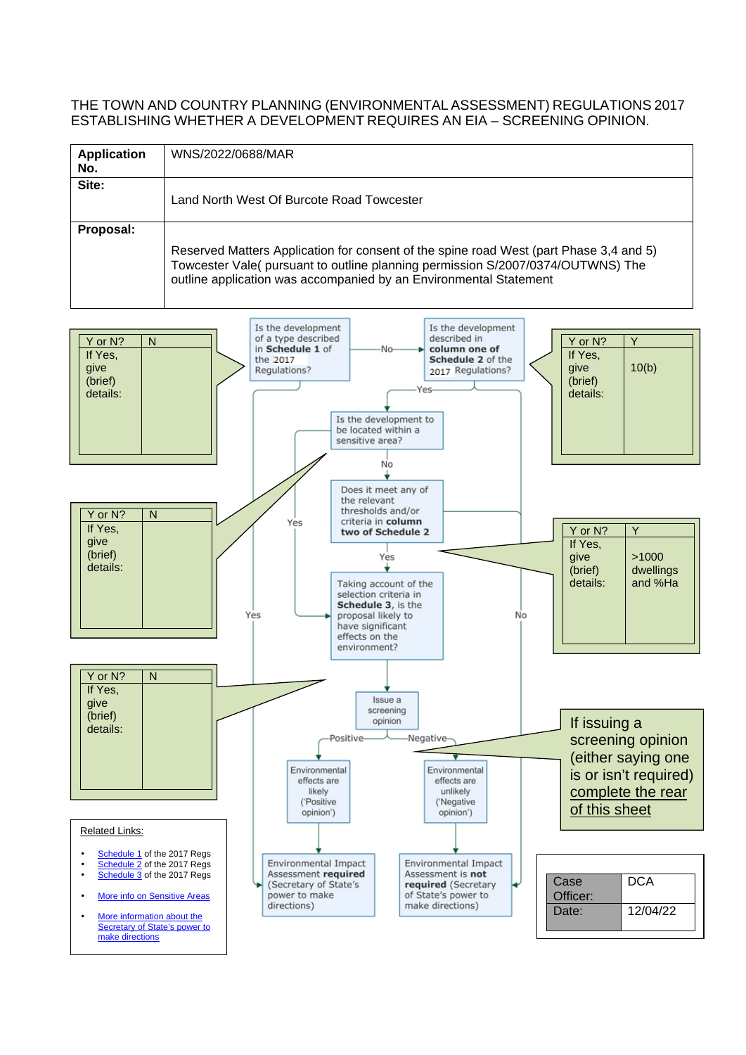## THE TOWN AND COUNTRY PLANNING (ENVIRONMENTAL ASSESSMENT) REGULATIONS 2017 ESTABLISHING WHETHER A DEVELOPMENT REQUIRES AN EIA – SCREENING OPINION.

| <b>Application</b><br>No. | WNS/2022/0688/MAR                                                                                                                                                                                                                              |
|---------------------------|------------------------------------------------------------------------------------------------------------------------------------------------------------------------------------------------------------------------------------------------|
| Site:                     | Land North West Of Burcote Road Towcester                                                                                                                                                                                                      |
| Proposal:                 | Reserved Matters Application for consent of the spine road West (part Phase 3,4 and 5)<br>Towcester Vale( pursuant to outline planning permission S/2007/0374/OUTWNS) The<br>outline application was accompanied by an Environmental Statement |